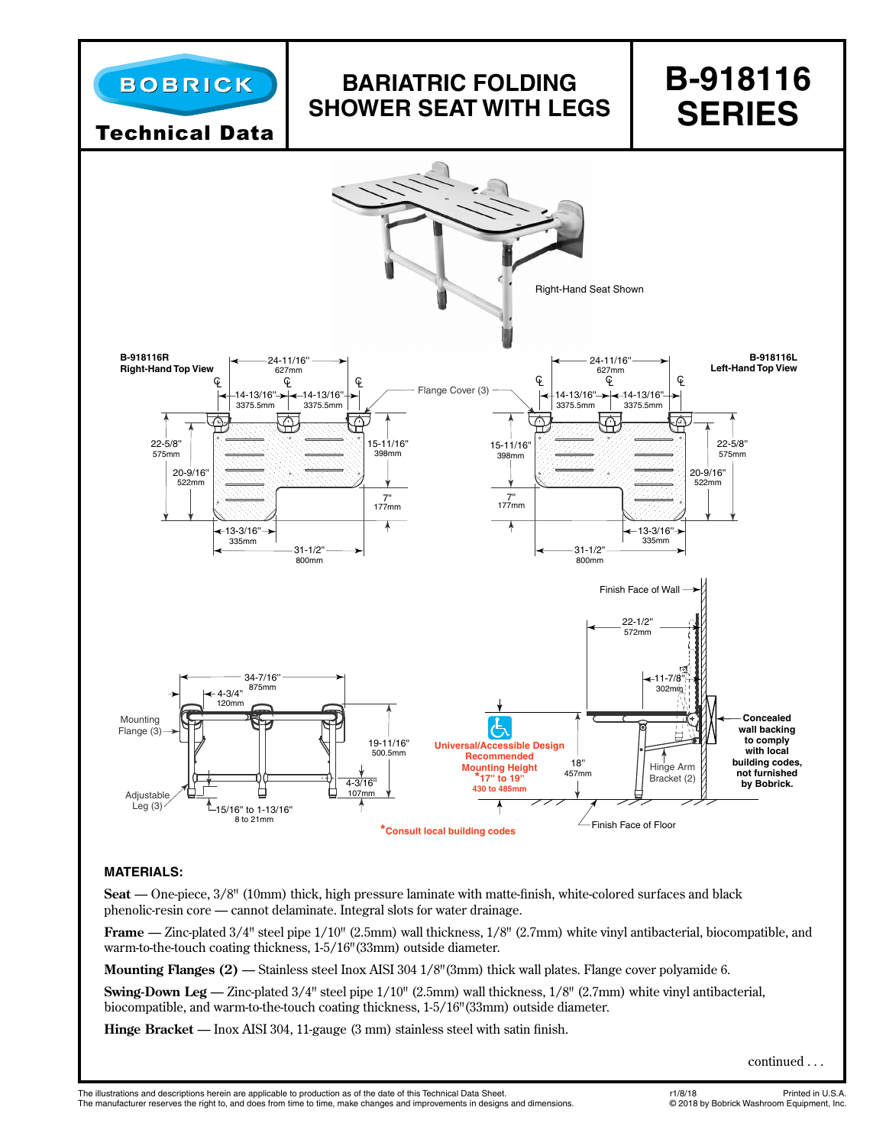

# **BARIATRIC FOLDING SHOWER SEAT WITH LEGS**

# **B-918116 SERIES**

Technical Data



# **MATERIALS:**

**Seat** — One-piece, 3/8" (10mm) thick, high pressure laminate with matte-finish, white-colored surfaces and black phenolic-resin core — cannot delaminate. Integral slots for water drainage.

**Frame** — Zinc-plated 3/4" steel pipe 1/10" (2.5mm) wall thickness, 1/8" (2.7mm) white vinyl antibacterial, biocompatible, and warm-to-the-touch coating thickness, 1-5/16"(33mm) outside diameter.

**Mounting Flanges (2)** — Stainless steel Inox AISI 304 1/8"(3mm) thick wall plates. Flange cover polyamide 6.

**Swing-Down Leg** — Zinc-plated 3/4" steel pipe 1/10" (2.5mm) wall thickness, 1/8" (2.7mm) white vinyl antibacterial, biocompatible, and warm-to-the-touch coating thickness, 1-5/16"(33mm) outside diameter.

**Hinge Bracket** — Inox AISI 304, 11-gauge (3 mm) stainless steel with satin finish.

continued . . .